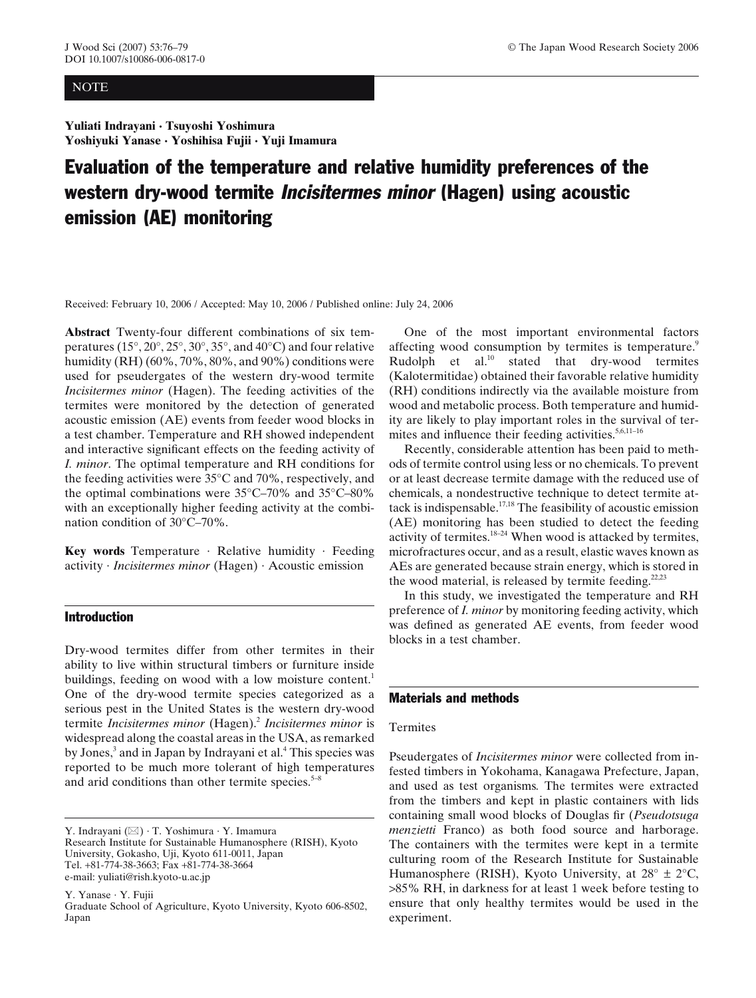## **NOTE**

**Yuliati Indrayani · Tsuyoshi Yoshimura Yoshiyuki Yanase · Yoshihisa Fujii · Yuji Imamura**

# Evaluation of the temperature and relative humidity preferences of the western dry-wood termite Incisitermes minor (Hagen) using acoustic emission (AE) monitoring

Received: February 10, 2006 / Accepted: May 10, 2006 / Published online: July 24, 2006

**Abstract** Twenty-four different combinations of six temperatures (15°, 20°, 25°, 30°, 35°, and 40°C) and four relative humidity (RH) (60%, 70%, 80%, and 90%) conditions were used for pseudergates of the western dry-wood termite *Incisitermes minor* (Hagen). The feeding activities of the termites were monitored by the detection of generated acoustic emission (AE) events from feeder wood blocks in a test chamber. Temperature and RH showed independent and interactive significant effects on the feeding activity of *I. minor*. The optimal temperature and RH conditions for the feeding activities were  $35^{\circ}$ C and  $70\%$ , respectively, and the optimal combinations were 35°C–70% and 35°C–80% with an exceptionally higher feeding activity at the combination condition of 30°C–70%.

**Key words** Temperature · Relative humidity · Feeding activity · *Incisitermes minor* (Hagen) · Acoustic emission

# Introduction

Dry-wood termites differ from other termites in their ability to live within structural timbers or furniture inside buildings, feeding on wood with a low moisture content.<sup>1</sup> One of the dry-wood termite species categorized as a serious pest in the United States is the western dry-wood termite *Incisitermes minor* (Hagen)[.2](#page-3-0) *Incisitermes minor* is widespread along the coastal areas in the USA, as remarked by Jones,<sup>[3](#page-3-0)</sup> and in Japan by Indrayani et al.<sup>4</sup> This species was reported to be much more tolerant of high temperatures and arid conditions than other termite species. $5-8$ 

Y. Indrayani  $(\boxtimes) \cdot$  T. Yoshimura  $\cdot$  Y. Imamura Research Institute for Sustainable Humanosphere (RISH), Kyoto University, Gokasho, Uji, Kyoto 611-0011, Japan Tel. +81-774-38-3663; Fax +81-774-38-3664 e-mail: yuliati@rish.kyoto-u.ac.jp

Y. Yanase · Y. Fujii Graduate School of Agriculture, Kyoto University, Kyoto 606-8502, Japan

One of the most important environmental factors affecting wood consumption by termites is temperature.<sup>9</sup> Rudolph et al. $^{10}$  stated that dry-wood termites (Kalotermitidae) obtained their favorable relative humidity (RH) conditions indirectly via the available moisture from wood and metabolic process. Both temperature and humidity are likely to play important roles in the survival of termites and influence their feeding activities.<sup>5,6,11-16</sup>

Recently, considerable attention has been paid to methods of termite control using less or no chemicals. To prevent or at least decrease termite damage with the reduced use of chemicals, a nondestructive technique to detect termite attack is indispensable.[17,18](#page-3-0) The feasibility of acoustic emission (AE) monitoring has been studied to detect the feeding activity of termites. $18-24$  When wood is attacked by termites, microfractures occur, and as a result, elastic waves known as AEs are generated because strain energy, which is stored in the wood material, is released by termite feeding.<sup>22,23</sup>

In this study, we investigated the temperature and RH preference of *I. minor* by monitoring feeding activity, which was defined as generated AE events, from feeder wood blocks in a test chamber.

# Materials and methods

## Termites

Pseudergates of *Incisitermes minor* were collected from infested timbers in Yokohama, Kanagawa Prefecture, Japan, and used as test organisms*.* The termites were extracted from the timbers and kept in plastic containers with lids containing small wood blocks of Douglas fir (*Pseudotsuga menzietti* Franco) as both food source and harborage. The containers with the termites were kept in a termite culturing room of the Research Institute for Sustainable Humanosphere (RISH), Kyoto University, at  $28^{\circ} \pm 2^{\circ}C$ , >85% RH, in darkness for at least 1 week before testing to ensure that only healthy termites would be used in the experiment.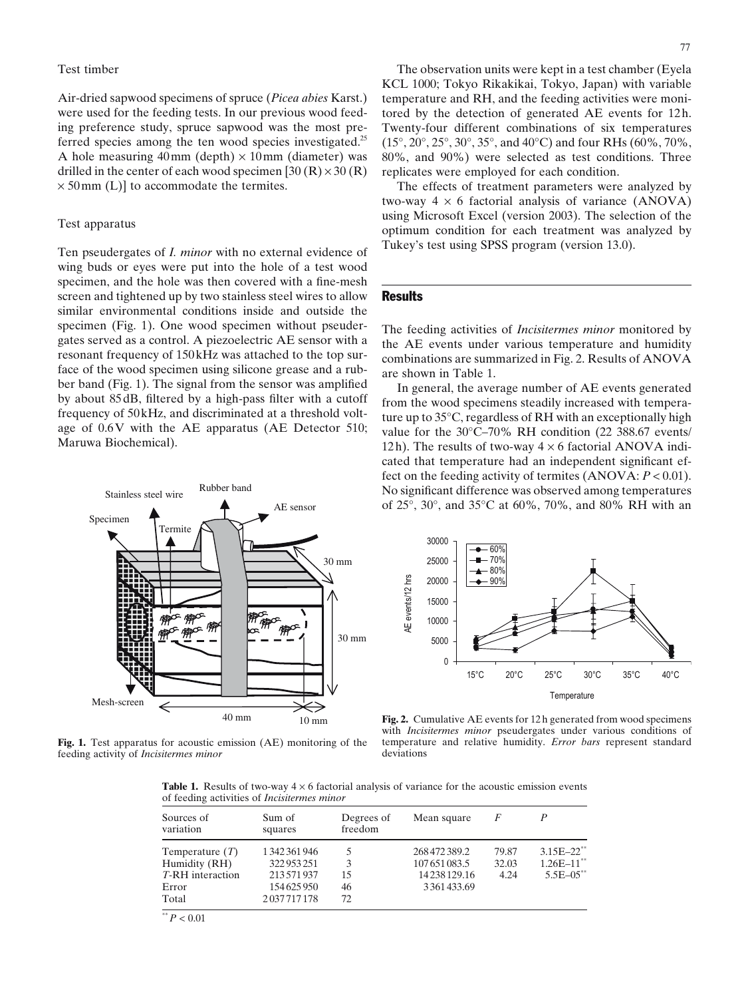#### <span id="page-1-0"></span>Test timber

Air-dried sapwood specimens of spruce (*Picea abies* Karst.) were used for the feeding tests. In our previous wood feeding preference study, spruce sapwood was the most preferred species among the ten wood species investigated.<sup>25</sup> A hole measuring  $40 \text{mm}$  (depth)  $\times 10 \text{mm}$  (diameter) was drilled in the center of each wood specimen [30  $(R) \times 30 (R)$ ]  $\times$  50 mm (L)] to accommodate the termites.

## Test apparatus

Ten pseudergates of *I. minor* with no external evidence of wing buds or eyes were put into the hole of a test wood specimen, and the hole was then covered with a fine-mesh screen and tightened up by two stainless steel wires to allow similar environmental conditions inside and outside the specimen (Fig. 1). One wood specimen without pseudergates served as a control. A piezoelectric AE sensor with a resonant frequency of 150kHz was attached to the top surface of the wood specimen using silicone grease and a rubber band (Fig. 1). The signal from the sensor was amplified by about 85dB, filtered by a high-pass filter with a cutoff frequency of 50kHz, and discriminated at a threshold voltage of 0.6V with the AE apparatus (AE Detector 510; Maruwa Biochemical).



**Fig. 1.** Test apparatus for acoustic emission (AE) monitoring of the feeding activity of *Incisitermes minor*

The observation units were kept in a test chamber (Eyela KCL 1000; Tokyo Rikakikai, Tokyo, Japan) with variable temperature and RH, and the feeding activities were monitored by the detection of generated AE events for 12h. Twenty-four different combinations of six temperatures (15°, 20°, 25°, 30°, 35°, and 40°C) and four RHs (60%, 70%, 80%, and 90%) were selected as test conditions. Three replicates were employed for each condition.

The effects of treatment parameters were analyzed by two-way  $4 \times 6$  factorial analysis of variance (ANOVA) using Microsoft Excel (version 2003). The selection of the optimum condition for each treatment was analyzed by Tukey's test using SPSS program (version 13.0).

# **Results**

The feeding activities of *Incisitermes minor* monitored by the AE events under various temperature and humidity combinations are summarized in Fig. 2. Results of ANOVA are shown in Table 1.

In general, the average number of AE events generated from the wood specimens steadily increased with temperature up to 35°C, regardless of RH with an exceptionally high value for the 30°C–70% RH condition (22 388.67 events/ 12h). The results of two-way  $4 \times 6$  factorial ANOVA indicated that temperature had an independent significant effect on the feeding activity of termites (ANOVA: *P* < 0.01). No significant difference was observed among temperatures of 25°, 30°, and 35°C at 60%, 70%, and 80% RH with an



**Fig. 2.** Cumulative AE events for 12 h generated from wood specimens with *Incisitermes minor* pseudergates under various conditions of temperature and relative humidity. *Error bars* represent standard deviations

**Table 1.** Results of two-way  $4 \times 6$  factorial analysis of variance for the acoustic emission events of feeding activities of *Incisitermes minor*

| Sources of<br>variation | Sum of<br>squares | Degrees of<br>freedom | Mean square   | F     |                 |
|-------------------------|-------------------|-----------------------|---------------|-------|-----------------|
| Temperature $(T)$       | 1342361946        |                       | 268 472 389.2 | 79.87 | $3.15E - 22$    |
| Humidity (RH)           | 322953251         | 3                     | 107651083.5   | 32.03 | $1.26E - 11$ ** |
| T-RH interaction        | 213 571 937       | 15                    | 14238129.16   | 4.24  | $5.5E - 05$ **  |
| Error                   | 154625950         | 46                    | 3361433.69    |       |                 |
| Total                   | 2037717178        | 72                    |               |       |                 |

 $P < 0.01$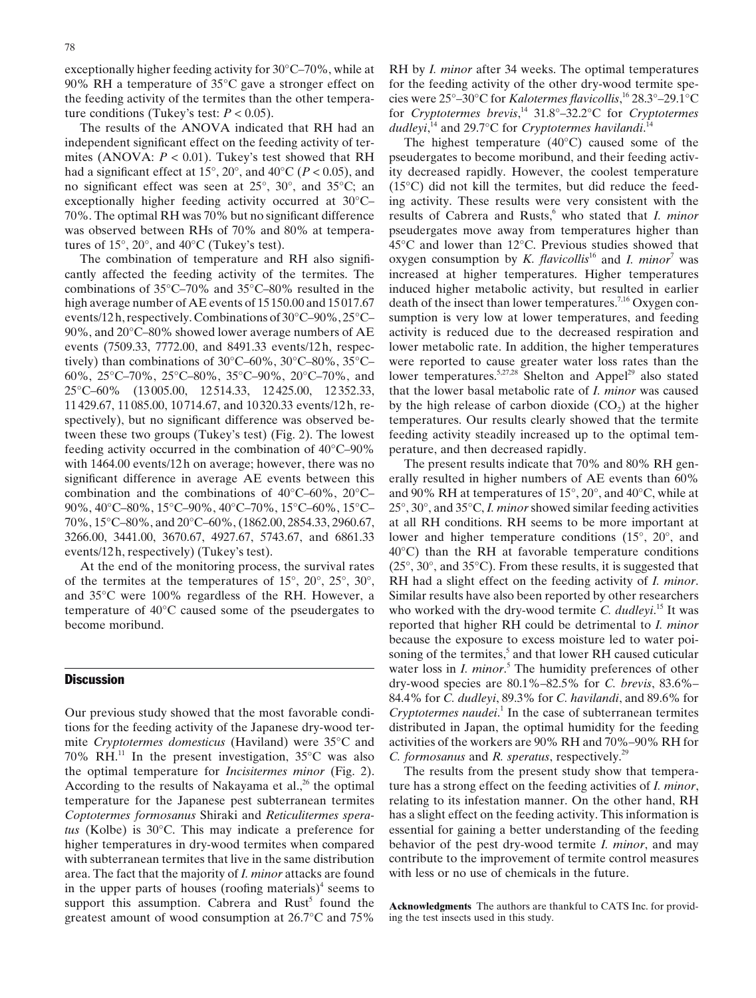exceptionally higher feeding activity for 30°C–70%, while at 90% RH a temperature of 35°C gave a stronger effect on the feeding activity of the termites than the other temperature conditions (Tukey's test:  $P < 0.05$ ).

The results of the ANOVA indicated that RH had an independent significant effect on the feeding activity of termites (ANOVA:  $P < 0.01$ ). Tukey's test showed that RH had a significant effect at  $15^{\circ}$ ,  $20^{\circ}$ , and  $40^{\circ}$ C (*P* < 0.05), and no significant effect was seen at 25°, 30°, and 35°C; an exceptionally higher feeding activity occurred at 30°C– 70%. The optimal RH was 70% but no significant difference was observed between RHs of 70% and 80% at temperatures of 15°, 20°, and 40°C (Tukey's test).

The combination of temperature and RH also significantly affected the feeding activity of the termites. The combinations of 35°C–70% and 35°C–80% resulted in the high average number of AE events of 15150.00 and 15017.67 events/12h, respectively. Combinations of 30°C–90%, 25°C– 90%, and 20°C–80% showed lower average numbers of AE events (7509.33, 7772.00, and 8491.33 events/12h, respectively) than combinations of 30°C–60%, 30°C–80%, 35°C– 60%, 25°C–70%, 25°C–80%, 35°C–90%, 20°C–70%, and 25°C–60% (13005.00, 12514.33, 12425.00, 12352.33, 11429.67, 11085.00, 10714.67, and 10320.33 events/12h, respectively), but no significant difference was observed between these two groups (Tukey's test) [\(Fig. 2\)](#page-1-0). The lowest feeding activity occurred in the combination of 40°C–90% with 1464.00 events/12h on average; however, there was no significant difference in average AE events between this combination and the combinations of 40°C–60%, 20°C– 90%, 40°C–80%, 15°C–90%, 40°C–70%, 15°C–60%, 15°C– 70%, 15°C–80%, and 20°C–60%, (1862.00, 2854.33, 2960.67, 3266.00, 3441.00, 3670.67, 4927.67, 5743.67, and 6861.33 events/12h, respectively) (Tukey's test).

At the end of the monitoring process, the survival rates of the termites at the temperatures of 15°, 20°, 25°, 30°, and 35°C were 100% regardless of the RH. However, a temperature of 40°C caused some of the pseudergates to become moribund.

# **Discussion**

Our previous study showed that the most favorable conditions for the feeding activity of the Japanese dry-wood termite *Cryptotermes domesticus* (Haviland) were 35°C and 70%  $\widetilde{RH}^{11}$  $\widetilde{RH}^{11}$  $\widetilde{RH}^{11}$ . In the present investigation, 35°C was also the optimal temperature for *Incisitermes minor* ([Fig. 2\)](#page-1-0). According to the results of Nakayama et al., $^{26}$  the optimal temperature for the Japanese pest subterranean termites *Coptotermes formosanus* Shiraki and *Reticulitermes speratus* (Kolbe) is 30°C. This may indicate a preference for higher temperatures in dry-wood termites when compared with subterranean termites that live in the same distribution area. The fact that the majority of *I. minor* attacks are found in the upper parts of houses (roofing materials)<sup>4</sup> seems to support this assumption. Cabrera and  $Rust<sup>5</sup>$  found the greatest amount of wood consumption at 26.7°C and 75%

RH by *I. minor* after 34 weeks. The optimal temperatures for the feeding activity of the other dry-wood termite species were 25°–30°C for *Kalotermes flavicollis*, [16](#page-3-0) 28.3°–29.1°C for *Cryptotermes brevis*, [14](#page-3-0) 31.8°–32.2°C for *Cryptotermes* dudleyi,<sup>[14](#page-3-0)</sup> and 29.7°C for *Cryptotermes havilandi*.<sup>14</sup>

The highest temperature (40°C) caused some of the pseudergates to become moribund, and their feeding activity decreased rapidly. However, the coolest temperature (15°C) did not kill the termites, but did reduce the feeding activity. These results were very consistent with the results of Cabrera and Rusts,<sup>[6](#page-3-0)</sup> who stated that *I. minor* pseudergates move away from temperatures higher than 45°C and lower than 12°C. Previous studies showed that oxygen consumption by *K. flavicollis*<sup>[16](#page-3-0)</sup> and *I. minor*<sup>[7](#page-3-0)</sup> was increased at higher temperatures. Higher temperatures induced higher metabolic activity, but resulted in earlier death of the insect than lower temperatures.<sup>7,16</sup> Oxygen consumption is very low at lower temperatures, and feeding activity is reduced due to the decreased respiration and lower metabolic rate. In addition, the higher temperatures were reported to cause greater water loss rates than the lower temperatures.<sup>5,27,28</sup> Shelton and Appel<sup>29</sup> also stated that the lower basal metabolic rate of *I. minor* was caused by the high release of carbon dioxide  $(CO<sub>2</sub>)$  at the higher temperatures. Our results clearly showed that the termite feeding activity steadily increased up to the optimal temperature, and then decreased rapidly.

The present results indicate that 70% and 80% RH generally resulted in higher numbers of AE events than 60% and 90% RH at temperatures of 15°, 20°, and 40°C, while at 25°, 30°, and 35°C, *I. minor* showed similar feeding activities at all RH conditions. RH seems to be more important at lower and higher temperature conditions (15°, 20°, and 40°C) than the RH at favorable temperature conditions (25°, 30°, and 35°C). From these results, it is suggested that RH had a slight effect on the feeding activity of *I. minor*. Similar results have also been reported by other researchers who worked with the dry-wood termite *C. dudleyi*. [15](#page-3-0) It was reported that higher RH could be detrimental to *I. minor* because the exposure to excess moisture led to water poisoning of the termites,<sup>5</sup> and that lower RH caused cuticular water loss in *I. minor*. [5](#page-3-0) The humidity preferences of other dry-wood species are 80.1%–82.5% for *C. brevis*, 83.6%– 84.4% for *C. dudleyi*, 89.3% for *C. havilandi*, and 89.6% for *Cryptotermes naudei*. [1](#page-3-0) In the case of subterranean termites distributed in Japan, the optimal humidity for the feeding activities of the workers are 90% RH and 70%–90% RH for *C. formosanus* and *R. speratus*, respectively.<sup>[29](#page-3-0)</sup>

The results from the present study show that temperature has a strong effect on the feeding activities of *I. minor*, relating to its infestation manner. On the other hand, RH has a slight effect on the feeding activity. This information is essential for gaining a better understanding of the feeding behavior of the pest dry-wood termite *I. minor*, and may contribute to the improvement of termite control measures with less or no use of chemicals in the future.

**Acknowledgments** The authors are thankful to CATS Inc. for providing the test insects used in this study.